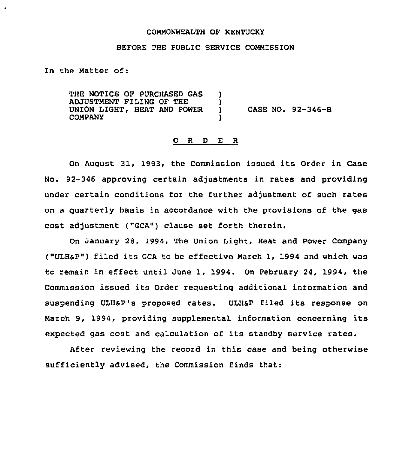#### COMMONWEALTH OF KENTUCKY

#### BEFORE THE PUBLIC SERVICE COMMISSION

In the Matter of:

THE NOTICE OF PURCHASED GAS ADJUSTMENT FILING OF THE UNION LIGHT, HEAT AND POWER COMPANY ) )<br>) ) CASE NO. 92-346-8 )

#### 0 R <sup>D</sup> E R

On August 31, 1993, the Commission issued its Order in Case No. 92-346 approving certain adjustments in rates and providing under certain conditions for the further adjustment of such rates on a guarterly basis in accordance with the provisions of the gas cost adjustment ("GCA") clause set forth therein.

On January 28, 1994, The Union Light, Heat and Power Company ("ULHsP") filed its GCA to be effective March 1, 1994 and which was to remain in effect until June 1, 1994. On February 24, 1994, the Commission issued its Order reguesting additional information and suspending ULHsP's proposed rates. ULHsP filed its response on March 9, 1994, providing supplemental information concerning its expected gas cost and calculation of its standby service rates.

After reviewing the record in this case and being otherwise sufficiently advised, the Commission finds that: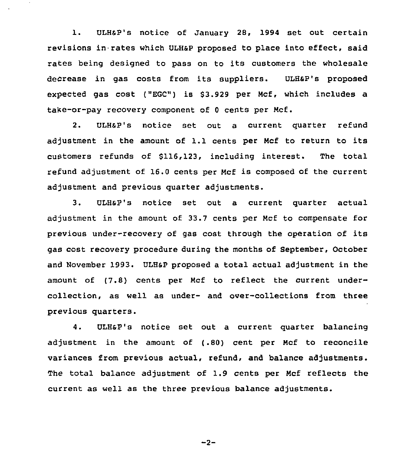1. ULHSP's notice of January 28, 1994 set out certain revisions in rates which ULHSp proposed to place into effect, said rates being designed to pass on to its customers the wholesale decrease in gas costs from its suppliers. ULH&P's proposed expected gas cost ("EGO") is \$3.929 per Mcf, which includes a take-or-pay recovery component of <sup>0</sup> cents per Ncf.

2. ULHsP's notice set out a current quarter refund adjustment in the amount of 1.1 cents per Mcf to return to its customers refunds of \$116,123, including interest. The total refund adjustment of 16.0 cents per Ncf is composed of the current adjustment and previous quarter adjustments.

3. ULHsP's notice set out a current quarter actual adjustment in the amount of 33.7 cents per Ncf to compensate for previous under-recovery of gas cost through the operation of its gas cost recovery procedure during the months of September, October and November 1993. ULHsp proposed a total actual adjustment in the amount of (7.8) cents per Mcf to reflect the current undercollection, as well as under- and over-collections from three previous quarters.

4. ULHSP's notice set out a current quarter balancing adjustment in the amount of (.80) cent per Ncf to reconcile variances from previous actual, refund, and balance adjustments. The total balance adjustment of 1.9 cents per Mcf reflects the current as well as the three previous balance adjustments.

$$
-2-
$$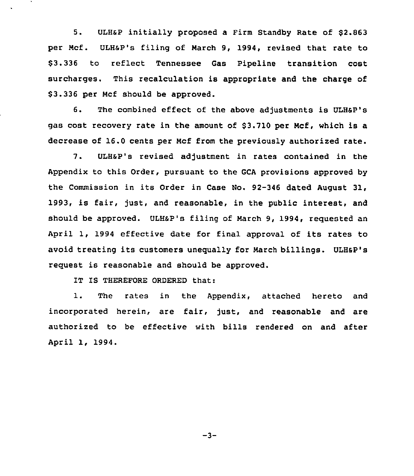5. ULH&P initially proposed a Firm Standby Rate of \$2.863 per Ncf. ULHsp's filing of Narch 9, 1994, revised that rate to \$ 3.336 to reflect Tennessee Gas Pipeline transition cost surcharges. This recalculation is appropriate and the charge of \$3.336 per Mcf should be approved.

6. The combined effect of the above adjustments is ULHSP's gas cost recovery rate in the amount of \$3.710 per Mcf, which is a decrease of 16.0 cents per Ncf from the previously authorized rate.

7. ULHSP's revised adjustment in rates contained in the Appendix to this Order, pursuant to the GCA provisions approved by the Commission in its Order in Case No. 92-346 dated August 31, 1993, is fair, just, and reasonable, in the public interest, and should be approved. ULH&P's filing of March 9, 1994, requested an April 1, 1994 effective date for final approval of its rates to avoid treating its customers unequally for Narch billings. ULHsP's request is reasonable and should be approved.

IT IS THEREFORE ORDERED that:

1. The rates in the Appendix, attached hereto and incorporated herein, are fair, just, and reasonable and are authorized to be effective with bills rendered on and after April 1, 1994.

 $-3-$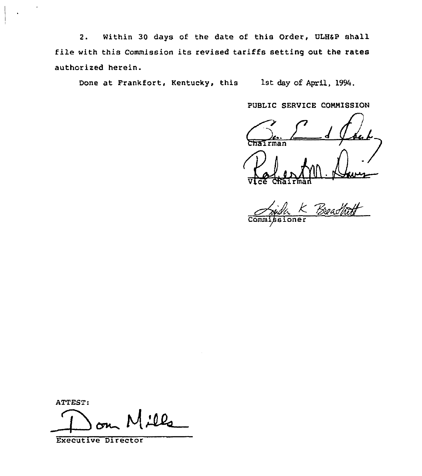2. Within 30 days of the date of this Order, ULH6P shall file with this Commission its revised tariffs setting out the rates authorised herein.

Done at Frankfort, Kentucky, this 1st day of April, 1994.

PUBLIC SERVICE CONNISSION

PUBLIC SERVICE COMMISSION Vice Polentyn A

 $\overline{\text{Comm1}}$ 

ATTEST:

 $1.00$ 

Executive Director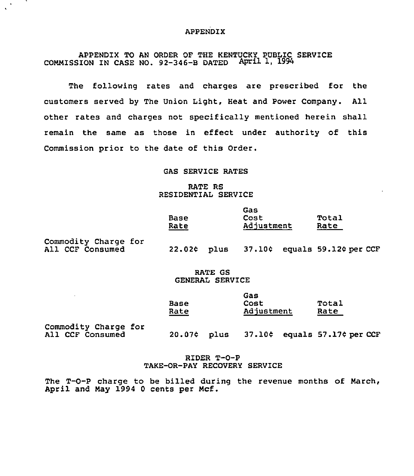## APPENDIX

APPENDIX TO AN ORDER OF THE KENTUCKY PUBLIC SERVICE COMMISSION IN CASE NO.  $92-346-8$  DATED April 1, 1994

The following rates and charges are prescribed for the customers served by The Union Light, Heat and Power Company. All other rates and charges not specifically mentioned herein shall remain the same as those in effect under authority of this Commission prior to the date of this Order.

## GAS SERVICE RATES

## RATE RS RESIDENTIAL SERVICE

|                                          | <b>Base</b><br>Rate |      | Gas<br>Cost<br>Adjustment |  | Total<br>Rate         |
|------------------------------------------|---------------------|------|---------------------------|--|-----------------------|
| Commodity Charge for<br>All CCF Consumed | 22.02c              | plus | 37.10¢                    |  | equals 59.12¢ per CCF |

## RATE GS GENERAL SERVICE

|      | Gas               |       |
|------|-------------------|-------|
| Base | Cost              | Total |
| Rate | <b>Adjustment</b> | Rate  |

Commodity Charge for<br>All CCF Consumed

 $20.07$ ¢ plus  $37.10$ ¢ equals  $57.17$ ¢ per CCF

## RIDER T-0-P TAKE-OR-PAY RECOVERY SERVICE

The T-0-P charge to be billed during the revenue months of March, April and May 1994 0 cents per Mcf.